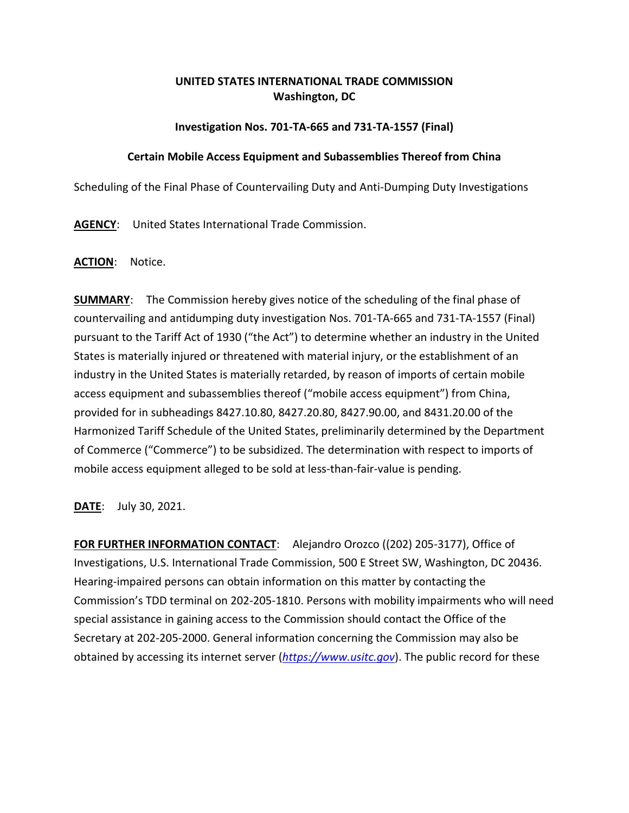# **UNITED STATES INTERNATIONAL TRADE COMMISSION Washington, DC**

### **Investigation Nos. 701-TA-665 and 731-TA-1557 (Final)**

#### **Certain Mobile Access Equipment and Subassemblies Thereof from China**

Scheduling of the Final Phase of Countervailing Duty and Anti-Dumping Duty Investigations

**AGENCY**: United States International Trade Commission.

### **ACTION**: Notice.

**SUMMARY**: The Commission hereby gives notice of the scheduling of the final phase of countervailing and antidumping duty investigation Nos. 701-TA-665 and 731-TA-1557 (Final) pursuant to the Tariff Act of 1930 ("the Act") to determine whether an industry in the United States is materially injured or threatened with material injury, or the establishment of an industry in the United States is materially retarded, by reason of imports of certain mobile access equipment and subassemblies thereof ("mobile access equipment") from China, provided for in subheadings 8427.10.80, 8427.20.80, 8427.90.00, and 8431.20.00 of the Harmonized Tariff Schedule of the United States, preliminarily determined by the Department of Commerce ("Commerce") to be subsidized. The determination with respect to imports of mobile access equipment alleged to be sold at less-than-fair-value is pending.

**DATE**: July 30, 2021.

**FOR FURTHER INFORMATION CONTACT**: Alejandro Orozco ((202) 205-3177), Office of Investigations, U.S. International Trade Commission, 500 E Street SW, Washington, DC 20436. Hearing-impaired persons can obtain information on this matter by contacting the Commission's TDD terminal on 202-205-1810. Persons with mobility impairments who will need special assistance in gaining access to the Commission should contact the Office of the Secretary at 202-205-2000. General information concerning the Commission may also be obtained by accessing its internet server (*[https://www.usitc.gov](https://www.usitc.gov/)*). The public record for these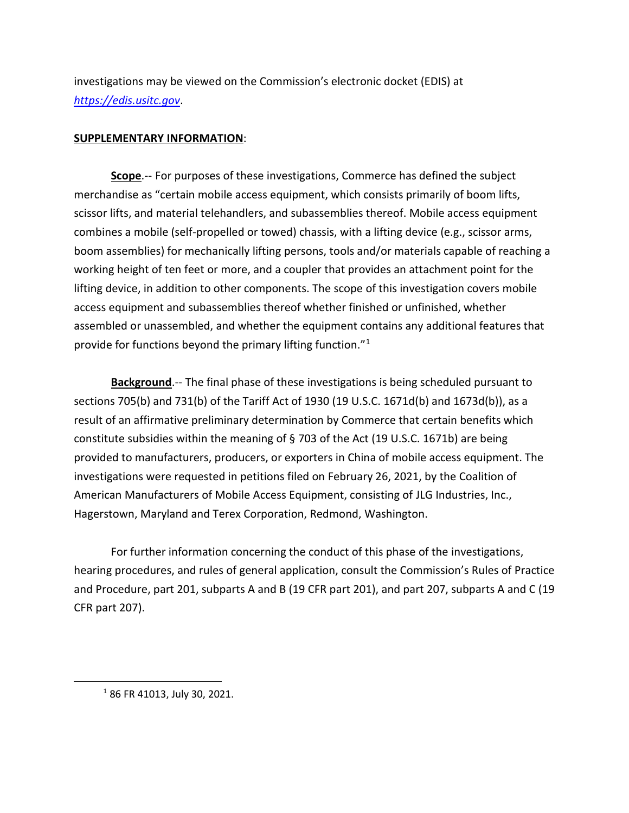investigations may be viewed on the Commission's electronic docket (EDIS) at *[https://edis.usitc.gov](https://edis.usitc.gov/)*.

## **SUPPLEMENTARY INFORMATION**:

**Scope**.-- For purposes of these investigations, Commerce has defined the subject merchandise as "certain mobile access equipment, which consists primarily of boom lifts, scissor lifts, and material telehandlers, and subassemblies thereof. Mobile access equipment combines a mobile (self-propelled or towed) chassis, with a lifting device (e.g., scissor arms, boom assemblies) for mechanically lifting persons, tools and/or materials capable of reaching a working height of ten feet or more, and a coupler that provides an attachment point for the lifting device, in addition to other components. The scope of this investigation covers mobile access equipment and subassemblies thereof whether finished or unfinished, whether assembled or unassembled, and whether the equipment contains any additional features that provide for functions beyond the primary lifting function."[1](#page-1-0)

**Background**.-- The final phase of these investigations is being scheduled pursuant to sections 705(b) and 731(b) of the Tariff Act of 1930 (19 U.S.C. 1671d(b) and 1673d(b)), as a result of an affirmative preliminary determination by Commerce that certain benefits which constitute subsidies within the meaning of § 703 of the Act (19 U.S.C. 1671b) are being provided to manufacturers, producers, or exporters in China of mobile access equipment. The investigations were requested in petitions filed on February 26, 2021, by the Coalition of American Manufacturers of Mobile Access Equipment, consisting of JLG Industries, Inc., Hagerstown, Maryland and Terex Corporation, Redmond, Washington.

For further information concerning the conduct of this phase of the investigations, hearing procedures, and rules of general application, consult the Commission's Rules of Practice and Procedure, part 201, subparts A and B (19 CFR part 201), and part 207, subparts A and C (19 CFR part 207).

<span id="page-1-0"></span> <sup>1</sup> 86 FR 41013, July 30, 2021.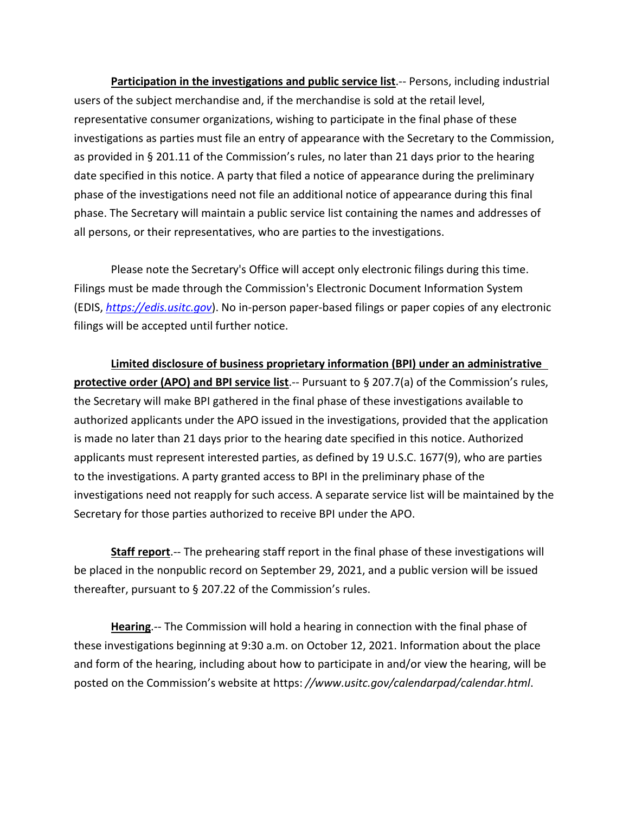**Participation in the investigations and public service list**.-- Persons, including industrial users of the subject merchandise and, if the merchandise is sold at the retail level, representative consumer organizations, wishing to participate in the final phase of these investigations as parties must file an entry of appearance with the Secretary to the Commission, as provided in § 201.11 of the Commission's rules, no later than 21 days prior to the hearing date specified in this notice. A party that filed a notice of appearance during the preliminary phase of the investigations need not file an additional notice of appearance during this final phase. The Secretary will maintain a public service list containing the names and addresses of all persons, or their representatives, who are parties to the investigations.

Please note the Secretary's Office will accept only electronic filings during this time. Filings must be made through the Commission's Electronic Document Information System (EDIS, *[https://edis.usitc.gov](https://edis.usitc.gov/)*). No in-person paper-based filings or paper copies of any electronic filings will be accepted until further notice.

**Limited disclosure of business proprietary information (BPI) under an administrative protective order (APO) and BPI service list**.-- Pursuant to § 207.7(a) of the Commission's rules, the Secretary will make BPI gathered in the final phase of these investigations available to authorized applicants under the APO issued in the investigations, provided that the application is made no later than 21 days prior to the hearing date specified in this notice. Authorized applicants must represent interested parties, as defined by 19 U.S.C. 1677(9), who are parties to the investigations. A party granted access to BPI in the preliminary phase of the investigations need not reapply for such access. A separate service list will be maintained by the Secretary for those parties authorized to receive BPI under the APO.

**Staff report**.-- The prehearing staff report in the final phase of these investigations will be placed in the nonpublic record on September 29, 2021, and a public version will be issued thereafter, pursuant to § 207.22 of the Commission's rules.

**Hearing**.-- The Commission will hold a hearing in connection with the final phase of these investigations beginning at 9:30 a.m. on October 12, 2021. Information about the place and form of the hearing, including about how to participate in and/or view the hearing, will be posted on the Commission's website at https: *//www.usitc.gov/calendarpad/calendar.html*.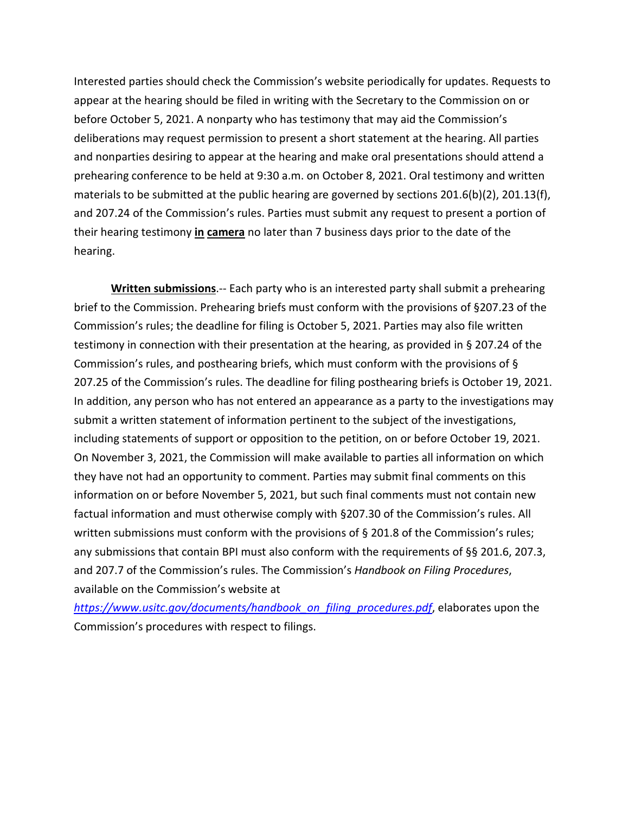Interested parties should check the Commission's website periodically for updates. Requests to appear at the hearing should be filed in writing with the Secretary to the Commission on or before October 5, 2021. A nonparty who has testimony that may aid the Commission's deliberations may request permission to present a short statement at the hearing. All parties and nonparties desiring to appear at the hearing and make oral presentations should attend a prehearing conference to be held at 9:30 a.m. on October 8, 2021. Oral testimony and written materials to be submitted at the public hearing are governed by sections 201.6(b)(2), 201.13(f), and 207.24 of the Commission's rules. Parties must submit any request to present a portion of their hearing testimony **in camera** no later than 7 business days prior to the date of the hearing.

**Written submissions**.-- Each party who is an interested party shall submit a prehearing brief to the Commission. Prehearing briefs must conform with the provisions of §207.23 of the Commission's rules; the deadline for filing is October 5, 2021. Parties may also file written testimony in connection with their presentation at the hearing, as provided in § 207.24 of the Commission's rules, and posthearing briefs, which must conform with the provisions of § 207.25 of the Commission's rules. The deadline for filing posthearing briefs is October 19, 2021. In addition, any person who has not entered an appearance as a party to the investigations may submit a written statement of information pertinent to the subject of the investigations, including statements of support or opposition to the petition, on or before October 19, 2021. On November 3, 2021, the Commission will make available to parties all information on which they have not had an opportunity to comment. Parties may submit final comments on this information on or before November 5, 2021, but such final comments must not contain new factual information and must otherwise comply with §207.30 of the Commission's rules. All written submissions must conform with the provisions of § 201.8 of the Commission's rules; any submissions that contain BPI must also conform with the requirements of §§ 201.6, 207.3, and 207.7 of the Commission's rules. The Commission's *Handbook on Filing Procedures*, available on the Commission's website at

*[https://www.usitc.gov/documents/handbook\\_on\\_filing\\_procedures.pdf](https://www.usitc.gov/documents/handbook_on_filing_procedures.pdf)*, elaborates upon the Commission's procedures with respect to filings.